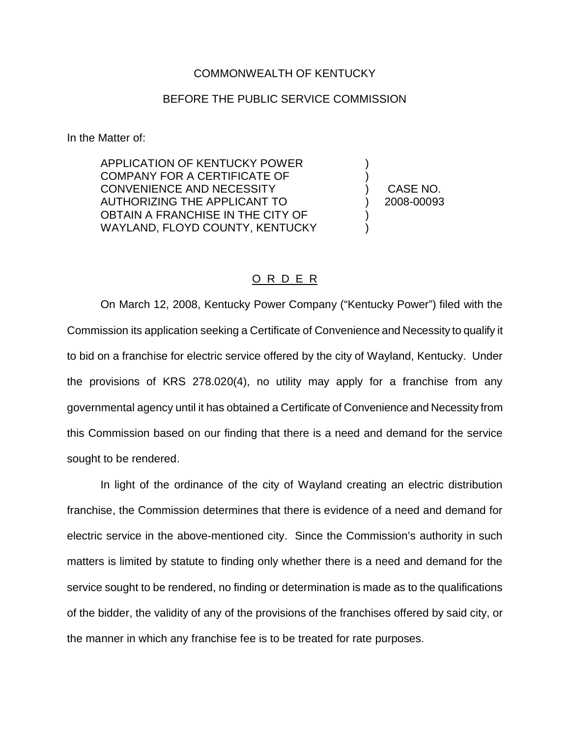## COMMONWEALTH OF KENTUCKY

## BEFORE THE PUBLIC SERVICE COMMISSION

In the Matter of:

APPLICATION OF KENTUCKY POWER COMPANY FOR A CERTIFICATE OF CONVENIENCE AND NECESSITY AUTHORIZING THE APPLICANT TO OBTAIN A FRANCHISE IN THE CITY OF WAYLAND, FLOYD COUNTY, KENTUCKY

) CASE NO. ) 2008-00093

) )

) )

## O R D E R

On March 12, 2008, Kentucky Power Company ("Kentucky Power") filed with the Commission its application seeking a Certificate of Convenience and Necessity to qualify it to bid on a franchise for electric service offered by the city of Wayland, Kentucky. Under the provisions of KRS 278.020(4), no utility may apply for a franchise from any governmental agency until it has obtained a Certificate of Convenience and Necessity from this Commission based on our finding that there is a need and demand for the service sought to be rendered.

In light of the ordinance of the city of Wayland creating an electric distribution franchise, the Commission determines that there is evidence of a need and demand for electric service in the above-mentioned city. Since the Commission's authority in such matters is limited by statute to finding only whether there is a need and demand for the service sought to be rendered, no finding or determination is made as to the qualifications of the bidder, the validity of any of the provisions of the franchises offered by said city, or the manner in which any franchise fee is to be treated for rate purposes.